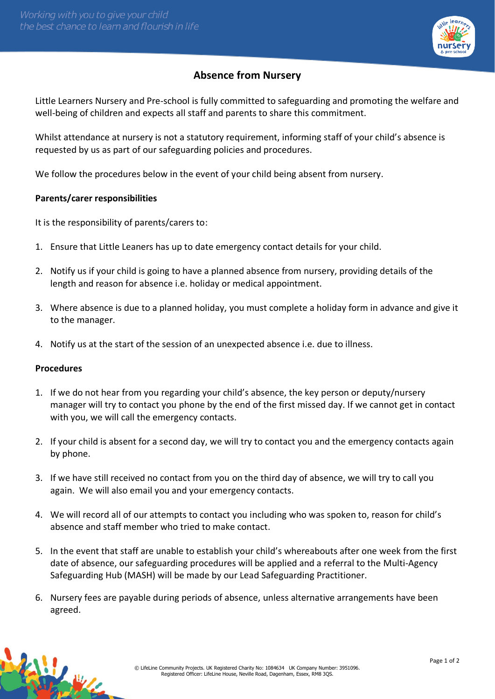

## **Absence from Nursery**

Little Learners Nursery and Pre-school is fully committed to safeguarding and promoting the welfare and well-being of children and expects all staff and parents to share this commitment.

Whilst attendance at nursery is not a statutory requirement, informing staff of your child's absence is requested by us as part of our safeguarding policies and procedures.

We follow the procedures below in the event of your child being absent from nursery.

## **Parents/carer responsibilities**

It is the responsibility of parents/carers to:

- 1. Ensure that Little Leaners has up to date emergency contact details for your child.
- 2. Notify us if your child is going to have a planned absence from nursery, providing details of the length and reason for absence i.e. holiday or medical appointment.
- 3. Where absence is due to a planned holiday, you must complete a holiday form in advance and give it to the manager.
- 4. Notify us at the start of the session of an unexpected absence i.e. due to illness.

## **Procedures**

- 1. If we do not hear from you regarding your child's absence, the key person or deputy/nursery manager will try to contact you phone by the end of the first missed day. If we cannot get in contact with you, we will call the emergency contacts.
- 2. If your child is absent for a second day, we will try to contact you and the emergency contacts again by phone.
- 3. If we have still received no contact from you on the third day of absence, we will try to call you again. We will also email you and your emergency contacts.
- 4. We will record all of our attempts to contact you including who was spoken to, reason for child's absence and staff member who tried to make contact.
- 5. In the event that staff are unable to establish your child's whereabouts after one week from the first date of absence, our safeguarding procedures will be applied and a referral to the Multi-Agency Safeguarding Hub (MASH) will be made by our Lead Safeguarding Practitioner.
- 6. Nursery fees are payable during periods of absence, unless alternative arrangements have been agreed.